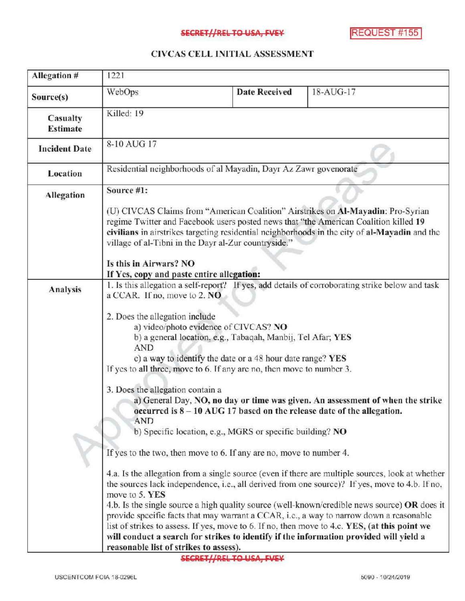## SECRET//REL TO USA, FVEY MANUSIC REQUEST #155

## CIVCAS CELL INITIAL ASSESSMENT

| Allegation #                | 1221                                                                                                                                                                                                                                                                                                                                                                                                     |                      |                                                                                                                                                                                                                                                                                                                                                                                                                                                                                                |
|-----------------------------|----------------------------------------------------------------------------------------------------------------------------------------------------------------------------------------------------------------------------------------------------------------------------------------------------------------------------------------------------------------------------------------------------------|----------------------|------------------------------------------------------------------------------------------------------------------------------------------------------------------------------------------------------------------------------------------------------------------------------------------------------------------------------------------------------------------------------------------------------------------------------------------------------------------------------------------------|
| Source(s)                   | WebOps                                                                                                                                                                                                                                                                                                                                                                                                   | <b>Date Received</b> | 18-AUG-17                                                                                                                                                                                                                                                                                                                                                                                                                                                                                      |
| Casualty<br><b>Estimate</b> | Killed: 19                                                                                                                                                                                                                                                                                                                                                                                               |                      |                                                                                                                                                                                                                                                                                                                                                                                                                                                                                                |
| <b>Incident Date</b>        | 8-10 AUG 17                                                                                                                                                                                                                                                                                                                                                                                              |                      |                                                                                                                                                                                                                                                                                                                                                                                                                                                                                                |
| Location                    | Residential neighborhoods of al Mayadin, Dayr Az Zawr govenorate                                                                                                                                                                                                                                                                                                                                         |                      |                                                                                                                                                                                                                                                                                                                                                                                                                                                                                                |
| <b>Allegation</b>           | Source #1:                                                                                                                                                                                                                                                                                                                                                                                               |                      |                                                                                                                                                                                                                                                                                                                                                                                                                                                                                                |
|                             | (U) CIVCAS Claims from "American Coalition" Airstrikes on Al-Mayadin: Pro-Syrian<br>regime Twitter and Facebook users posted news that "the American Coalition killed 19<br>civilians in airstrikes targeting residential neighborhoods in the city of al-Mayadin and the<br>village of al-Tibni in the Dayr al-Zur countryside."<br>Is this in Airwars? NO<br>If Yes, copy and paste entire allegation: |                      |                                                                                                                                                                                                                                                                                                                                                                                                                                                                                                |
|                             |                                                                                                                                                                                                                                                                                                                                                                                                          |                      |                                                                                                                                                                                                                                                                                                                                                                                                                                                                                                |
| Analysis                    | 1. Is this allegation a self-report? If yes, add details of corroborating strike below and task<br>a CCAR. If no, move to 2. NO                                                                                                                                                                                                                                                                          |                      |                                                                                                                                                                                                                                                                                                                                                                                                                                                                                                |
|                             | 2. Does the allegation include<br>a) video/photo evidence of CIVCAS? NO<br>b) a general location, e.g., Tabaqah, Manbij, Tel Afar; YES<br><b>AND</b><br>c) a way to identify the date or a 48 hour date range? YES<br>If yes to all three, move to 6. If any are no, then move to number 3.                                                                                                              |                      |                                                                                                                                                                                                                                                                                                                                                                                                                                                                                                |
|                             | 3. Does the allegation contain a<br>a) General Day, NO, no day or time was given. An assessment of when the strike<br>occurred is $8-10$ AUG 17 based on the release date of the allegation.<br><b>AND</b><br>b) Specific location, e.g., MGRS or specific building? NO                                                                                                                                  |                      |                                                                                                                                                                                                                                                                                                                                                                                                                                                                                                |
|                             | If yes to the two, then move to 6. If any are no, move to number 4.                                                                                                                                                                                                                                                                                                                                      |                      |                                                                                                                                                                                                                                                                                                                                                                                                                                                                                                |
|                             | move to 5. YES<br>will conduct a search for strikes to identify if the information provided will yield a<br>reasonable list of strikes to assess).                                                                                                                                                                                                                                                       |                      | 4.a. Is the allegation from a single source (even if there are multiple sources, look at whether<br>the sources lack independence, i.e., all derived from one source)? If yes, move to 4.b. If no,<br>4.b. Is the single source a high quality source (well-known/credible news source) OR does it<br>provide specific facts that may warrant a CCAR, i.e., a way to narrow down a reasonable<br>list of strikes to assess. If yes, move to 6. If no, then move to 4.c. YES, (at this point we |

**SECRET//REL TO USA, FVEY**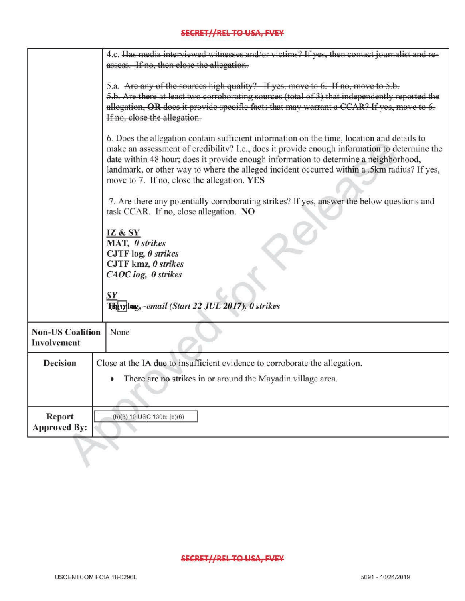## SECRET//REL TO USA, FVEY

|                                                                                                                                      | 4.c. Has media interviewed witnesses and/or victims? If yes, then contact iournalist and re-<br>assess. If no, then close the allegation.                                                                                                                                                                                                                                                                                        |  |  |
|--------------------------------------------------------------------------------------------------------------------------------------|----------------------------------------------------------------------------------------------------------------------------------------------------------------------------------------------------------------------------------------------------------------------------------------------------------------------------------------------------------------------------------------------------------------------------------|--|--|
|                                                                                                                                      | 5.a. Are any of the sources high quality? If yes, move to 6. If no, move to 5.b.<br>5.b. Are there at least two corroborating sources (total of 3) that independently reported the<br>allegation, OR does it provide specific facts that may warrant a CCAR? If yes, move to 6.<br>If no, close the allegation.                                                                                                                  |  |  |
|                                                                                                                                      | 6. Does the allegation contain sufficient information on the time, location and details to<br>make an assessment of credibility? I.e., does it provide enough information to determine the<br>date within 48 hour; does it provide enough information to determine a neighborhood,<br>landmark, or other way to where the alleged incident occurred within a .5km radius? If yes,<br>move to 7. If no, close the allegation. YES |  |  |
| 7. Are there any potentially corroborating strikes? If yes, answer the below questions and<br>task CCAR. If no, close allegation. NO |                                                                                                                                                                                                                                                                                                                                                                                                                                  |  |  |
|                                                                                                                                      | <b>IZ &amp; SY</b><br>MAT, 0 strikes<br>CJTF $log_{2}$ 0 strikes<br>CJTF kmz, 0 strikes<br>CAOC log, 0 strikes                                                                                                                                                                                                                                                                                                                   |  |  |
|                                                                                                                                      | Turnlag, -email (Start 22 JUL 2017), 0 strikes                                                                                                                                                                                                                                                                                                                                                                                   |  |  |
| <b>Non-US Coalition</b><br>Involvement                                                                                               | None                                                                                                                                                                                                                                                                                                                                                                                                                             |  |  |
| <b>Decision</b>                                                                                                                      | Close at the IA due to insufficient evidence to corroborate the allegation.<br>There are no strikes in or around the Mayadin village area.                                                                                                                                                                                                                                                                                       |  |  |
| Report<br><b>Approved By:</b>                                                                                                        | (b)(3) 10 USC 130b; (b)(6)                                                                                                                                                                                                                                                                                                                                                                                                       |  |  |
|                                                                                                                                      |                                                                                                                                                                                                                                                                                                                                                                                                                                  |  |  |